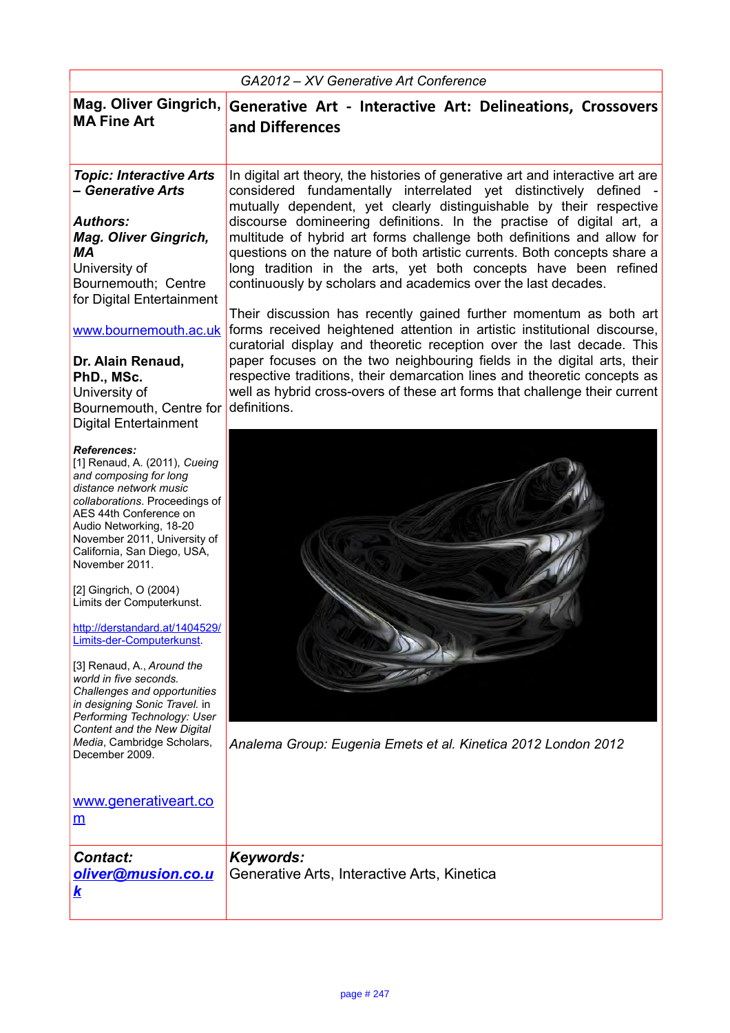| GA2012 – XV Generative Art Conference                                                                                                                                                                                                                                                                                                                                                                                                                                                                                                                                                                                                       |                                                                                                                                                                                                                                                                                                                                                                                                                                                                                                                                                                                                                                                                                                                                                                                                                                                                                                                                                                                                                                                                             |
|---------------------------------------------------------------------------------------------------------------------------------------------------------------------------------------------------------------------------------------------------------------------------------------------------------------------------------------------------------------------------------------------------------------------------------------------------------------------------------------------------------------------------------------------------------------------------------------------------------------------------------------------|-----------------------------------------------------------------------------------------------------------------------------------------------------------------------------------------------------------------------------------------------------------------------------------------------------------------------------------------------------------------------------------------------------------------------------------------------------------------------------------------------------------------------------------------------------------------------------------------------------------------------------------------------------------------------------------------------------------------------------------------------------------------------------------------------------------------------------------------------------------------------------------------------------------------------------------------------------------------------------------------------------------------------------------------------------------------------------|
| Mag. Oliver Gingrich,<br><b>MA Fine Art</b>                                                                                                                                                                                                                                                                                                                                                                                                                                                                                                                                                                                                 | Generative Art - Interactive Art: Delineations, Crossovers<br>and Differences                                                                                                                                                                                                                                                                                                                                                                                                                                                                                                                                                                                                                                                                                                                                                                                                                                                                                                                                                                                               |
| <b>Topic: Interactive Arts</b><br>- Generative Arts<br><b>Authors:</b><br><b>Mag. Oliver Gingrich,</b><br>ΜA<br>University of<br>Bournemouth; Centre<br>for Digital Entertainment<br>www.bournemouth.ac.uk<br>Dr. Alain Renaud,<br>PhD., MSc.<br>University of<br>Bournemouth, Centre for<br><b>Digital Entertainment</b>                                                                                                                                                                                                                                                                                                                   | In digital art theory, the histories of generative art and interactive art are<br>considered fundamentally interrelated yet distinctively defined -<br>mutually dependent, yet clearly distinguishable by their respective<br>discourse domineering definitions. In the practise of digital art, a<br>multitude of hybrid art forms challenge both definitions and allow for<br>questions on the nature of both artistic currents. Both concepts share a<br>long tradition in the arts, yet both concepts have been refined<br>continuously by scholars and academics over the last decades.<br>Their discussion has recently gained further momentum as both art<br>forms received heightened attention in artistic institutional discourse,<br>curatorial display and theoretic reception over the last decade. This<br>paper focuses on the two neighbouring fields in the digital arts, their<br>respective traditions, their demarcation lines and theoretic concepts as<br>well as hybrid cross-overs of these art forms that challenge their current<br>definitions. |
| <b>References:</b><br>[1] Renaud, A. (2011), Cueing<br>and composing for long<br>distance network music<br>collaborations. Proceedings of<br>AES 44th Conference on<br>Audio Networking, 18-20<br>November 2011, University of<br>California, San Diego, USA,<br>November 2011.<br>[2] Gingrich, O (2004)<br>Limits der Computerkunst.<br>http://derstandard.at/1404529/<br>Limits-der-Computerkunst<br>[3] Renaud, A., Around the<br>world in five seconds.<br>Challenges and opportunities<br>in designing Sonic Travel. in<br>Performing Technology: User<br>Content and the New Digital<br>Media, Cambridge Scholars,<br>December 2009. | Analema Group: Eugenia Emets et al. Kinetica 2012 London 2012                                                                                                                                                                                                                                                                                                                                                                                                                                                                                                                                                                                                                                                                                                                                                                                                                                                                                                                                                                                                               |
| www.generativeart.co<br>m                                                                                                                                                                                                                                                                                                                                                                                                                                                                                                                                                                                                                   |                                                                                                                                                                                                                                                                                                                                                                                                                                                                                                                                                                                                                                                                                                                                                                                                                                                                                                                                                                                                                                                                             |
| <b>Contact:</b><br>oliver@musion.co.u<br><u>k</u>                                                                                                                                                                                                                                                                                                                                                                                                                                                                                                                                                                                           | Keywords:<br>Generative Arts, Interactive Arts, Kinetica                                                                                                                                                                                                                                                                                                                                                                                                                                                                                                                                                                                                                                                                                                                                                                                                                                                                                                                                                                                                                    |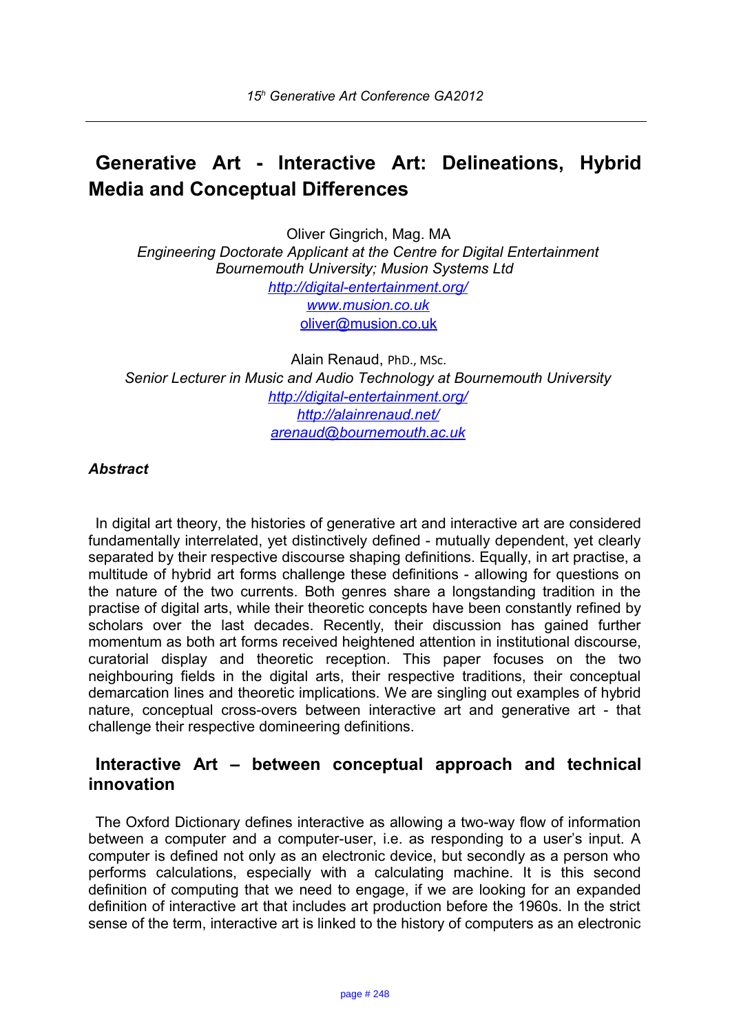# **Generative Art - Interactive Art: Delineations, Hybrid Media and Conceptual Differences**

Oliver Gingrich, Mag. MA *Engineering Doctorate Applicant at the Centre for Digital Entertainment Bournemouth University; Musion Systems Ltd <http://digital-entertainment.org/> [www.musion.co.uk](http://www.musion.co.uk/)* [oliver@musion.co.uk](mailto:oliver@musion.co.uk)

Alain Renaud, PhD., MSc. *Senior Lecturer in Music and Audio Technology at Bournemouth University <http://digital-entertainment.org/> <http://alainrenaud.net/> [arenaud@bournemouth.ac.uk](mailto:arenaud@bournemouth.ac.uk)*

## *Abstract*

In digital art theory, the histories of generative art and interactive art are considered fundamentally interrelated, yet distinctively defined - mutually dependent, yet clearly separated by their respective discourse shaping definitions. Equally, in art practise, a multitude of hybrid art forms challenge these definitions - allowing for questions on the nature of the two currents. Both genres share a longstanding tradition in the practise of digital arts, while their theoretic concepts have been constantly refined by scholars over the last decades. Recently, their discussion has gained further momentum as both art forms received heightened attention in institutional discourse, curatorial display and theoretic reception. This paper focuses on the two neighbouring fields in the digital arts, their respective traditions, their conceptual demarcation lines and theoretic implications. We are singling out examples of hybrid nature, conceptual cross-overs between interactive art and generative art - that challenge their respective domineering definitions.

## **Interactive Art – between conceptual approach and technical innovation**

The Oxford Dictionary defines interactive as allowing a two-way flow of information between a computer and a computer-user, i.e. as responding to a user's input. A computer is defined not only as an electronic device, but secondly as a person who performs calculations, especially with a calculating machine. It is this second definition of computing that we need to engage, if we are looking for an expanded definition of interactive art that includes art production before the 1960s. In the strict sense of the term, interactive art is linked to the history of computers as an electronic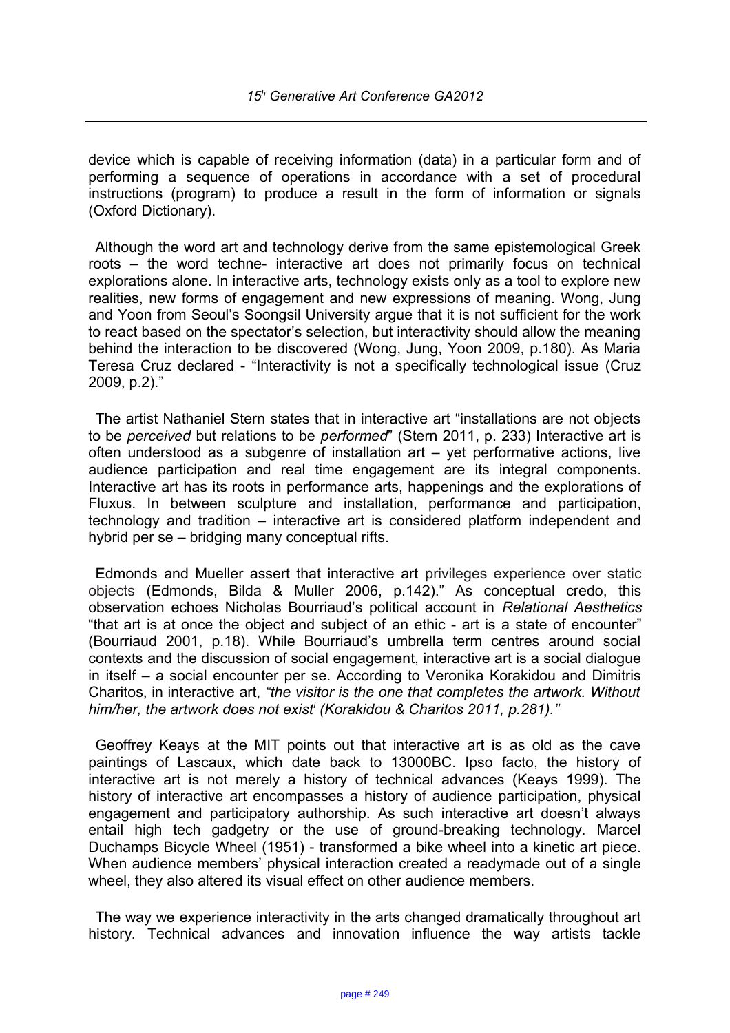device which is capable of receiving information (data) in a particular form and of performing a sequence of operations in accordance with a set of procedural instructions (program) to produce a result in the form of information or signals (Oxford Dictionary).

Although the word art and technology derive from the same epistemological Greek roots – the word techne- interactive art does not primarily focus on technical explorations alone. In interactive arts, technology exists only as a tool to explore new realities, new forms of engagement and new expressions of meaning. Wong, Jung and Yoon from Seoul's Soongsil University argue that it is not sufficient for the work to react based on the spectator's selection, but interactivity should allow the meaning behind the interaction to be discovered (Wong, Jung, Yoon 2009, p.180). As Maria Teresa Cruz declared - "Interactivity is not a specifically technological issue (Cruz 2009, p.2)."

The artist Nathaniel Stern states that in interactive art "installations are not objects to be *perceived* but relations to be *performed*" (Stern 2011, p. 233) Interactive art is often understood as a subgenre of installation art – yet performative actions, live audience participation and real time engagement are its integral components. Interactive art has its roots in performance arts, happenings and the explorations of Fluxus. In between sculpture and installation, performance and participation, technology and tradition – interactive art is considered platform independent and hybrid per se – bridging many conceptual rifts.

Edmonds and Mueller assert that interactive art privileges experience over static objects (Edmonds, Bilda & Muller 2006, p.142)." As conceptual credo, this observation echoes Nicholas Bourriaud's political account in *Relational Aesthetics*  "that art is at once the object and subject of an ethic - art is a state of encounter" (Bourriaud 2001, p.18). While Bourriaud's umbrella term centres around social contexts and the discussion of social engagement, interactive art is a social dialogue in itself – a social encounter per se. According to Veronika Korakidou and Dimitris Charitos, in interactive art, *"the visitor is the one that completes the artwork. Without him/her, the artwork does not exist[i](#page-12-0) (Korakidou & Charitos 2011, p.281)."* 

Geoffrey Keays at the MIT points out that interactive art is as old as the cave paintings of Lascaux, which date back to 13000BC. Ipso facto, the history of interactive art is not merely a history of technical advances (Keays 1999). The history of interactive art encompasses a history of audience participation, physical engagement and participatory authorship. As such interactive art doesn't always entail high tech gadgetry or the use of ground-breaking technology. Marcel Duchamps Bicycle Wheel (1951) - transformed a bike wheel into a kinetic art piece. When audience members' physical interaction created a readymade out of a single wheel, they also altered its visual effect on other audience members.

The way we experience interactivity in the arts changed dramatically throughout art history. Technical advances and innovation influence the way artists tackle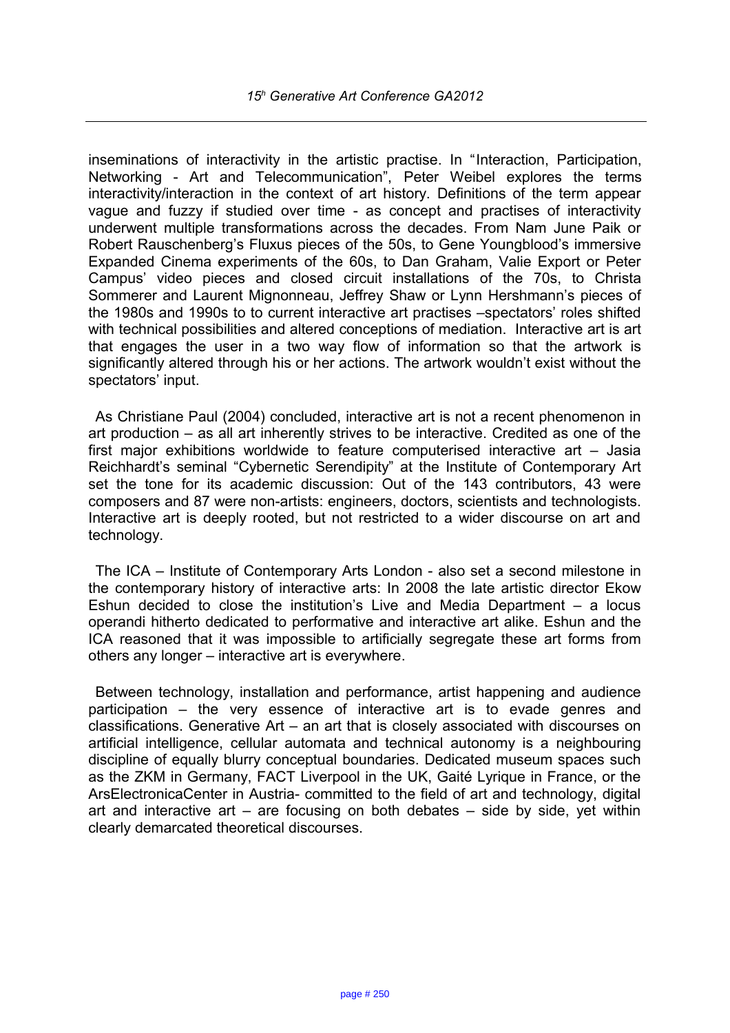inseminations of interactivity in the artistic practise. In "Interaction, Participation, Networking - Art and Telecommunication", Peter Weibel explores the terms interactivity/interaction in the context of art history. Definitions of the term appear vague and fuzzy if studied over time - as concept and practises of interactivity underwent multiple transformations across the decades. From Nam June Paik or Robert Rauschenberg's Fluxus pieces of the 50s, to Gene Youngblood's immersive Expanded Cinema experiments of the 60s, to Dan Graham, Valie Export or Peter Campus' video pieces and closed circuit installations of the 70s, to Christa Sommerer and Laurent Mignonneau, Jeffrey Shaw or Lynn Hershmann's pieces of the 1980s and 1990s to to current interactive art practises –spectators' roles shifted with technical possibilities and altered conceptions of mediation. Interactive art is art that engages the user in a two way flow of information so that the artwork is significantly altered through his or her actions. The artwork wouldn't exist without the spectators' input.

As Christiane Paul (2004) concluded, interactive art is not a recent phenomenon in art production – as all art inherently strives to be interactive. Credited as one of the first major exhibitions worldwide to feature computerised interactive art – Jasia Reichhardt's seminal "Cybernetic Serendipity" at the Institute of Contemporary Art set the tone for its academic discussion: Out of the 143 contributors, 43 were composers and 87 were non-artists: engineers, doctors, scientists and technologists. Interactive art is deeply rooted, but not restricted to a wider discourse on art and technology.

The ICA – Institute of Contemporary Arts London - also set a second milestone in the contemporary history of interactive arts: In 2008 the late artistic director Ekow Eshun decided to close the institution's Live and Media Department – a locus operandi hitherto dedicated to performative and interactive art alike. Eshun and the ICA reasoned that it was impossible to artificially segregate these art forms from others any longer – interactive art is everywhere.

Between technology, installation and performance, artist happening and audience participation – the very essence of interactive art is to evade genres and classifications. Generative Art – an art that is closely associated with discourses on artificial intelligence, cellular automata and technical autonomy is a neighbouring discipline of equally blurry conceptual boundaries. Dedicated museum spaces such as the ZKM in Germany, FACT Liverpool in the UK, Gaité Lyrique in France, or the ArsElectronicaCenter in Austria- committed to the field of art and technology, digital art and interactive art  $-$  are focusing on both debates  $-$  side by side, yet within clearly demarcated theoretical discourses.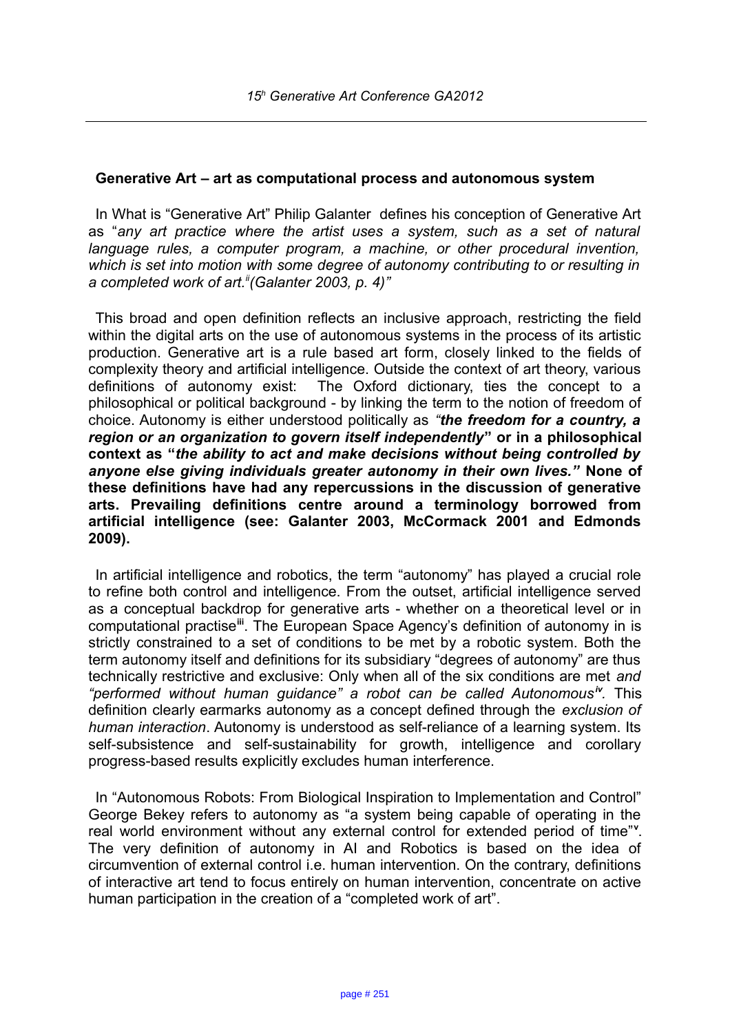### **Generative Art – art as computational process and autonomous system**

In What is "Generative Art" Philip Galanter defines his conception of Generative Art as "*any art practice where the artist uses a system, such as a set of natural language rules, a computer program, a machine, or other procedural invention, which is set into motion with some degree of autonomy contributing to or resulting in a completed work of art.[ii](#page-12-1)(Galanter 2003, p. 4)"* 

This broad and open definition reflects an inclusive approach, restricting the field within the digital arts on the use of autonomous systems in the process of its artistic production. Generative art is a rule based art form, closely linked to the fields of complexity theory and artificial intelligence. Outside the context of art theory, various definitions of autonomy exist: The Oxford dictionary, ties the concept to a philosophical or political background - by linking the term to the notion of freedom of choice. Autonomy is either understood politically as *"the freedom for a country, a region or an organization to govern itself independently***" or in a philosophical context as "***the ability to act and make decisions without being controlled by anyone else giving individuals greater autonomy in their own lives."* **None of these definitions have had any repercussions in the discussion of generative arts. Prevailing definitions centre around a terminology borrowed from artificial intelligence (see: Galanter 2003, McCormack 2001 and Edmonds 2009).**

In artificial intelligence and robotics, the term "autonomy" has played a crucial role to refine both control and intelligence. From the outset, artificial intelligence served as a conceptual backdrop for generative arts - whether on a theoretical level or in computational practise**[iii](#page-12-2)**. The European Space Agency's definition of autonomy in is strictly constrained to a set of conditions to be met by a robotic system. Both the term autonomy itself and definitions for its subsidiary "degrees of autonomy" are thus technically restrictive and exclusive: Only when all of the six conditions are met *and "performed without human guidance" a robot can be called Autonomous[iv](#page-12-3) .* This definition clearly earmarks autonomy as a concept defined through the *exclusion of human interaction*. Autonomy is understood as self-reliance of a learning system. Its self-subsistence and self-sustainability for growth, intelligence and corollary progress-based results explicitly excludes human interference.

In "Autonomous Robots: From Biological Inspiration to Implementation and Control" George Bekey refers to autonomy as "a system being capable of operating in the real world environment without any external control for extended period of time"**[v](#page-12-4)** . The very definition of autonomy in AI and Robotics is based on the idea of circumvention of external control i.e. human intervention. On the contrary, definitions of interactive art tend to focus entirely on human intervention, concentrate on active human participation in the creation of a "completed work of art".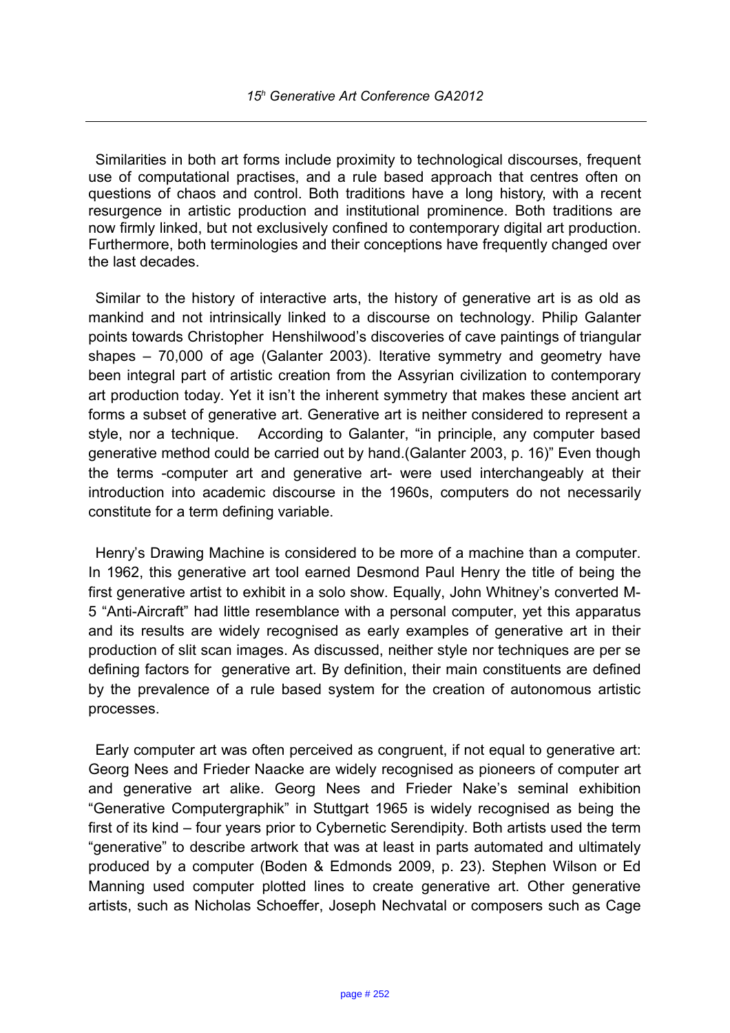Similarities in both art forms include proximity to technological discourses, frequent use of computational practises, and a rule based approach that centres often on questions of chaos and control. Both traditions have a long history, with a recent resurgence in artistic production and institutional prominence. Both traditions are now firmly linked, but not exclusively confined to contemporary digital art production. Furthermore, both terminologies and their conceptions have frequently changed over the last decades.

Similar to the history of interactive arts, the history of generative art is as old as mankind and not intrinsically linked to a discourse on technology. Philip Galanter points towards Christopher Henshilwood's discoveries of cave paintings of triangular shapes – 70,000 of age (Galanter 2003). Iterative symmetry and geometry have been integral part of artistic creation from the Assyrian civilization to contemporary art production today. Yet it isn't the inherent symmetry that makes these ancient art forms a subset of generative art. Generative art is neither considered to represent a style, nor a technique. According to Galanter, "in principle, any computer based generative method could be carried out by hand.(Galanter 2003, p. 16)" Even though the terms -computer art and generative art- were used interchangeably at their introduction into academic discourse in the 1960s, computers do not necessarily constitute for a term defining variable.

Henry's Drawing Machine is considered to be more of a machine than a computer. In 1962, this generative art tool earned Desmond Paul Henry the title of being the first generative artist to exhibit in a solo show. Equally, John Whitney's converted M-5 "Anti-Aircraft" had little resemblance with a personal computer, yet this apparatus and its results are widely recognised as early examples of generative art in their production of slit scan images. As discussed, neither style nor techniques are per se defining factors for generative art. By definition, their main constituents are defined by the prevalence of a rule based system for the creation of autonomous artistic processes.

Early computer art was often perceived as congruent, if not equal to generative art: Georg Nees and Frieder Naacke are widely recognised as pioneers of computer art and generative art alike. Georg Nees and Frieder Nake's seminal exhibition "Generative Computergraphik" in Stuttgart 1965 is widely recognised as being the first of its kind – four years prior to Cybernetic Serendipity. Both artists used the term "generative" to describe artwork that was at least in parts automated and ultimately produced by a computer (Boden & Edmonds 2009, p. 23). Stephen Wilson or Ed Manning used computer plotted lines to create generative art. Other generative artists, such as Nicholas Schoeffer, Joseph Nechvatal or composers such as Cage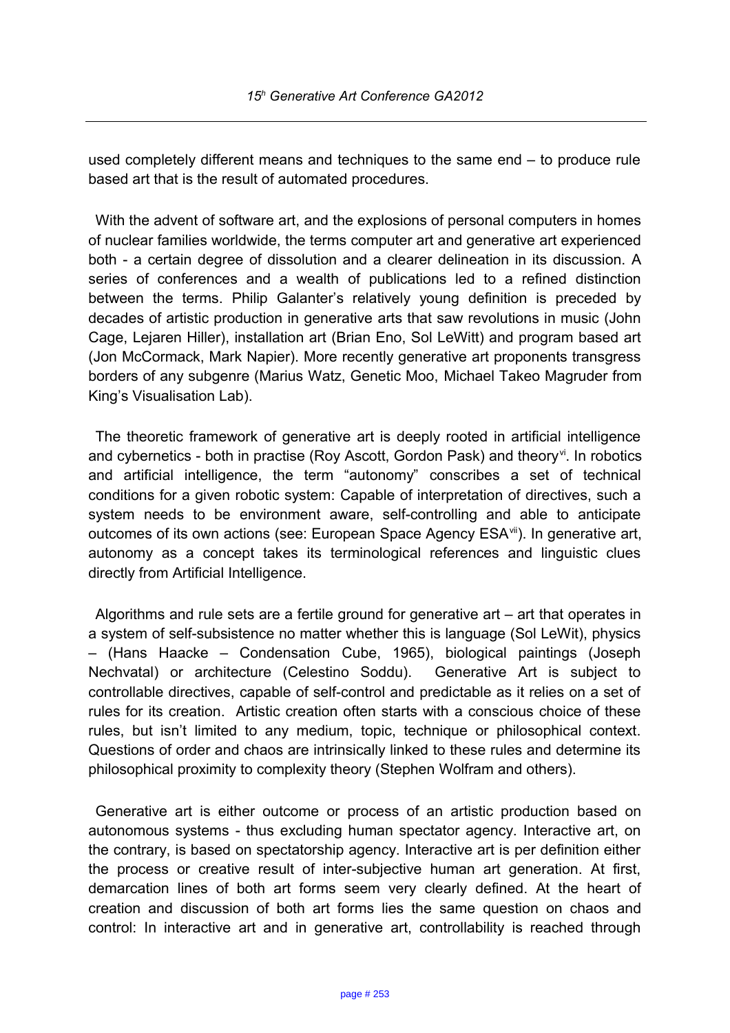used completely different means and techniques to the same end – to produce rule based art that is the result of automated procedures.

With the advent of software art, and the explosions of personal computers in homes of nuclear families worldwide, the terms computer art and generative art experienced both - a certain degree of dissolution and a clearer delineation in its discussion. A series of conferences and a wealth of publications led to a refined distinction between the terms. Philip Galanter's relatively young definition is preceded by decades of artistic production in generative arts that saw revolutions in music (John Cage, Lejaren Hiller), installation art (Brian Eno, Sol LeWitt) and program based art (Jon McCormack, Mark Napier). More recently generative art proponents transgress borders of any subgenre (Marius Watz, Genetic Moo, Michael Takeo Magruder from King's Visualisation Lab).

The theoretic framework of generative art is deeply rooted in artificial intelligence and cybernetics - both in practise (Roy Ascott, Gordon Pask) and theory<sup>[vi](#page-12-5)</sup>. In robotics and artificial intelligence, the term "autonomy" conscribes a set of technical conditions for a given robotic system: Capable of interpretation of directives, such a system needs to be environment aware, self-controlling and able to anticipate outcomes of its own actions (see: European Space Agency ESA<sup>[vii](#page-12-6)</sup>). In generative art, autonomy as a concept takes its terminological references and linguistic clues directly from Artificial Intelligence.

Algorithms and rule sets are a fertile ground for generative art – art that operates in a system of self-subsistence no matter whether this is language (Sol LeWit), physics – (Hans Haacke – Condensation Cube, 1965), biological paintings (Joseph Nechvatal) or architecture (Celestino Soddu). Generative Art is subject to controllable directives, capable of self-control and predictable as it relies on a set of rules for its creation. Artistic creation often starts with a conscious choice of these rules, but isn't limited to any medium, topic, technique or philosophical context. Questions of order and chaos are intrinsically linked to these rules and determine its philosophical proximity to complexity theory (Stephen Wolfram and others).

Generative art is either outcome or process of an artistic production based on autonomous systems - thus excluding human spectator agency. Interactive art, on the contrary, is based on spectatorship agency. Interactive art is per definition either the process or creative result of inter-subjective human art generation. At first, demarcation lines of both art forms seem very clearly defined. At the heart of creation and discussion of both art forms lies the same question on chaos and control: In interactive art and in generative art, controllability is reached through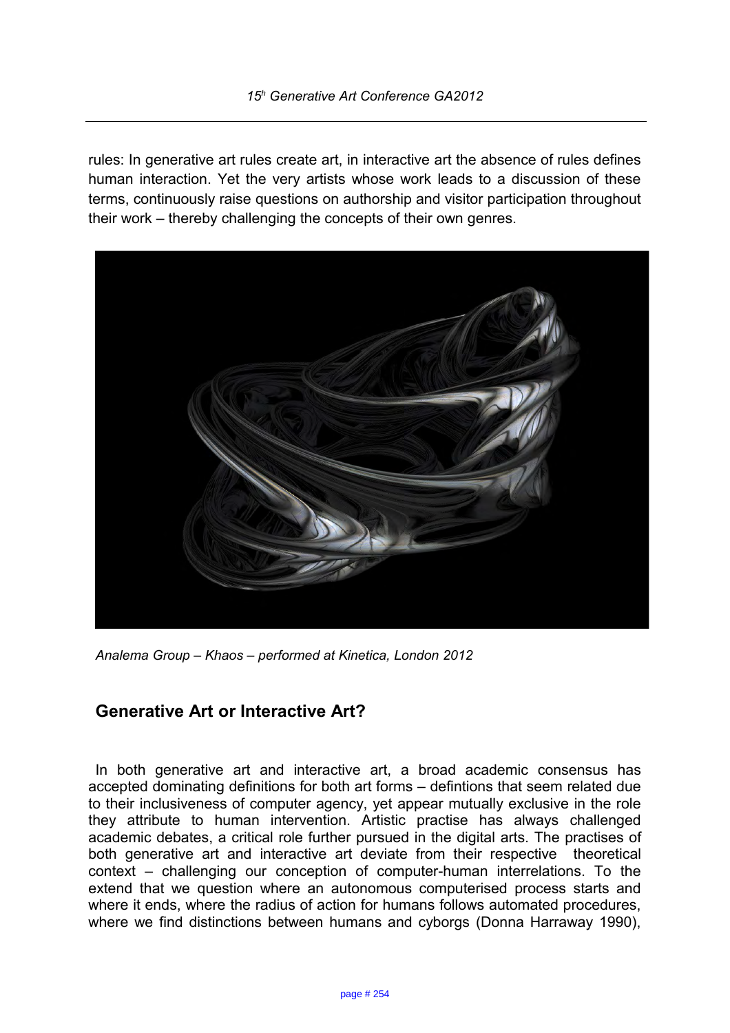rules: In generative art rules create art, in interactive art the absence of rules defines human interaction. Yet the very artists whose work leads to a discussion of these terms, continuously raise questions on authorship and visitor participation throughout their work – thereby challenging the concepts of their own genres.



*Analema Group – Khaos – performed at Kinetica, London 2012*

## **Generative Art or Interactive Art?**

In both generative art and interactive art, a broad academic consensus has accepted dominating definitions for both art forms – defintions that seem related due to their inclusiveness of computer agency, yet appear mutually exclusive in the role they attribute to human intervention. Artistic practise has always challenged academic debates, a critical role further pursued in the digital arts. The practises of both generative art and interactive art deviate from their respective theoretical context – challenging our conception of computer-human interrelations. To the extend that we question where an autonomous computerised process starts and where it ends, where the radius of action for humans follows automated procedures, where we find distinctions between humans and cyborgs (Donna Harraway 1990),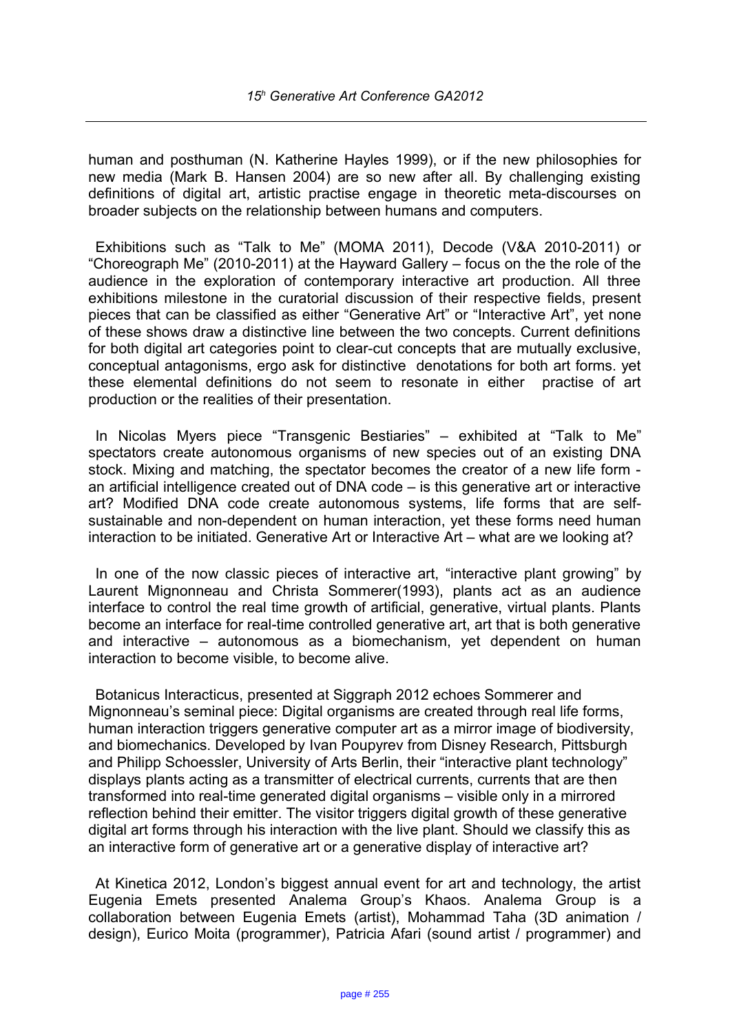human and posthuman (N. Katherine Hayles 1999), or if the new philosophies for new media (Mark B. Hansen 2004) are so new after all. By challenging existing definitions of digital art, artistic practise engage in theoretic meta-discourses on broader subjects on the relationship between humans and computers.

Exhibitions such as "Talk to Me" (MOMA 2011), Decode (V&A 2010-2011) or "Choreograph Me" (2010-2011) at the Hayward Gallery – focus on the the role of the audience in the exploration of contemporary interactive art production. All three exhibitions milestone in the curatorial discussion of their respective fields, present pieces that can be classified as either "Generative Art" or "Interactive Art", yet none of these shows draw a distinctive line between the two concepts. Current definitions for both digital art categories point to clear-cut concepts that are mutually exclusive, conceptual antagonisms, ergo ask for distinctive denotations for both art forms. yet these elemental definitions do not seem to resonate in either practise of art production or the realities of their presentation.

In Nicolas Myers piece "Transgenic Bestiaries" – exhibited at "Talk to Me" spectators create autonomous organisms of new species out of an existing DNA stock. Mixing and matching, the spectator becomes the creator of a new life form an artificial intelligence created out of DNA code – is this generative art or interactive art? Modified DNA code create autonomous systems, life forms that are selfsustainable and non-dependent on human interaction, yet these forms need human interaction to be initiated. Generative Art or Interactive Art – what are we looking at?

In one of the now classic pieces of interactive art, "interactive plant growing" by Laurent Mignonneau and Christa Sommerer(1993), plants act as an audience interface to control the real time growth of artificial, generative, virtual plants. Plants become an interface for real-time controlled generative art, art that is both generative and interactive – autonomous as a biomechanism, yet dependent on human interaction to become visible, to become alive.

Botanicus Interacticus, presented at Siggraph 2012 echoes Sommerer and Mignonneau's seminal piece: Digital organisms are created through real life forms, human interaction triggers generative computer art as a mirror image of biodiversity, and biomechanics. Developed by Ivan Poupyrev from Disney Research, Pittsburgh and Philipp Schoessler, University of Arts Berlin, their "interactive plant technology" displays plants acting as a transmitter of electrical currents, currents that are then transformed into real-time generated digital organisms – visible only in a mirrored reflection behind their emitter. The visitor triggers digital growth of these generative digital art forms through his interaction with the live plant. Should we classify this as an interactive form of generative art or a generative display of interactive art?

At Kinetica 2012, London's biggest annual event for art and technology, the artist Eugenia Emets presented Analema Group's Khaos. Analema Group is a collaboration between Eugenia Emets (artist), Mohammad Taha (3D animation / design), Eurico Moita (programmer), Patricia Afari (sound artist / programmer) and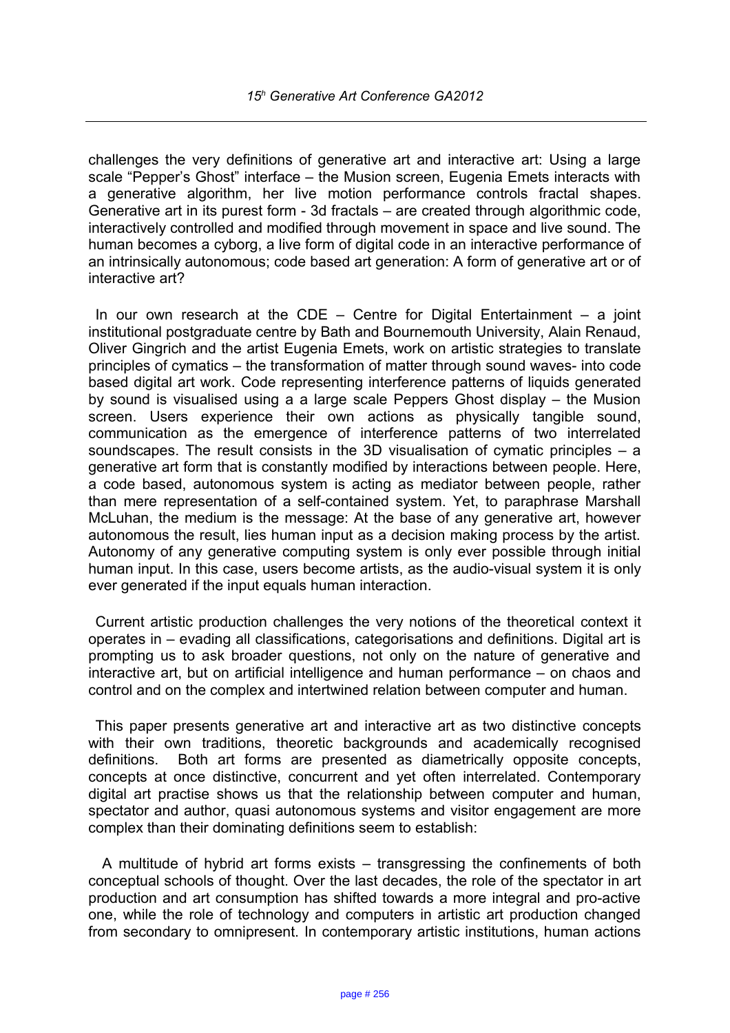challenges the very definitions of generative art and interactive art: Using a large scale "Pepper's Ghost" interface – the Musion screen, Eugenia Emets interacts with a generative algorithm, her live motion performance controls fractal shapes. Generative art in its purest form - 3d fractals – are created through algorithmic code, interactively controlled and modified through movement in space and live sound. The human becomes a cyborg, a live form of digital code in an interactive performance of an intrinsically autonomous; code based art generation: A form of generative art or of interactive art?

In our own research at the CDE – Centre for Digital Entertainment – a joint institutional postgraduate centre by Bath and Bournemouth University, Alain Renaud, Oliver Gingrich and the artist Eugenia Emets, work on artistic strategies to translate principles of cymatics – the transformation of matter through sound waves- into code based digital art work. Code representing interference patterns of liquids generated by sound is visualised using a a large scale Peppers Ghost display – the Musion screen. Users experience their own actions as physically tangible sound, communication as the emergence of interference patterns of two interrelated soundscapes. The result consists in the 3D visualisation of cymatic principles – a generative art form that is constantly modified by interactions between people. Here, a code based, autonomous system is acting as mediator between people, rather than mere representation of a self-contained system. Yet, to paraphrase Marshall McLuhan, the medium is the message: At the base of any generative art, however autonomous the result, lies human input as a decision making process by the artist. Autonomy of any generative computing system is only ever possible through initial human input. In this case, users become artists, as the audio-visual system it is only ever generated if the input equals human interaction.

Current artistic production challenges the very notions of the theoretical context it operates in – evading all classifications, categorisations and definitions. Digital art is prompting us to ask broader questions, not only on the nature of generative and interactive art, but on artificial intelligence and human performance – on chaos and control and on the complex and intertwined relation between computer and human.

This paper presents generative art and interactive art as two distinctive concepts with their own traditions, theoretic backgrounds and academically recognised definitions. Both art forms are presented as diametrically opposite concepts, concepts at once distinctive, concurrent and yet often interrelated. Contemporary digital art practise shows us that the relationship between computer and human, spectator and author, quasi autonomous systems and visitor engagement are more complex than their dominating definitions seem to establish:

 A multitude of hybrid art forms exists – transgressing the confinements of both conceptual schools of thought. Over the last decades, the role of the spectator in art production and art consumption has shifted towards a more integral and pro-active one, while the role of technology and computers in artistic art production changed from secondary to omnipresent. In contemporary artistic institutions, human actions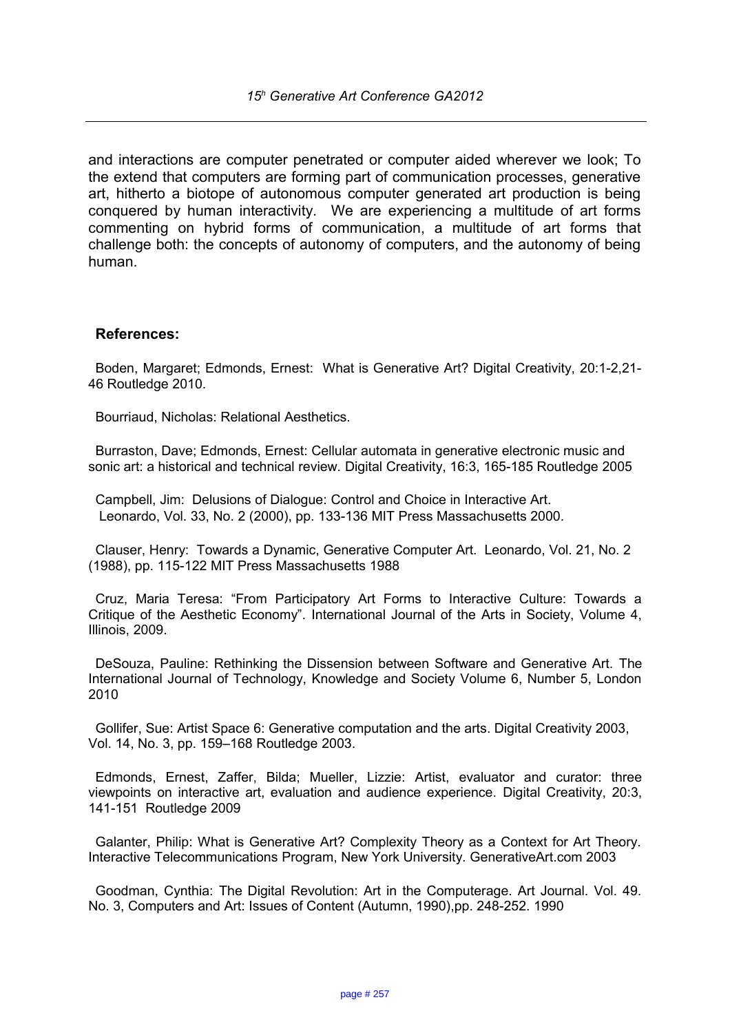and interactions are computer penetrated or computer aided wherever we look; To the extend that computers are forming part of communication processes, generative art, hitherto a biotope of autonomous computer generated art production is being conquered by human interactivity. We are experiencing a multitude of art forms commenting on hybrid forms of communication, a multitude of art forms that challenge both: the concepts of autonomy of computers, and the autonomy of being human.

#### **References:**

Boden, Margaret; Edmonds, Ernest: What is Generative Art? Digital Creativity, 20:1-2,21- 46 Routledge 2010.

Bourriaud, Nicholas: Relational Aesthetics.

Burraston, Dave; Edmonds, Ernest: Cellular automata in generative electronic music and sonic art: a historical and technical review. Digital Creativity, 16:3, 165-185 Routledge 2005

Campbell, Jim: Delusions of Dialogue: Control and Choice in Interactive Art. Leonardo, Vol. 33, No. 2 (2000), pp. 133-136 MIT Press Massachusetts 2000.

Clauser, Henry: Towards a Dynamic, Generative Computer Art. Leonardo, Vol. 21, No. 2 (1988), pp. 115-122 MIT Press Massachusetts 1988

Cruz, Maria Teresa: "From Participatory Art Forms to Interactive Culture: Towards a Critique of the Aesthetic Economy". International Journal of the Arts in Society, Volume 4, Illinois, 2009.

DeSouza, Pauline: Rethinking the Dissension between Software and Generative Art. The International Journal of Technology, Knowledge and Society Volume 6, Number 5, London 2010

Gollifer, Sue: Artist Space 6: Generative computation and the arts. Digital Creativity 2003, Vol. 14, No. 3, pp. 159–168 Routledge 2003.

Edmonds, Ernest, Zaffer, Bilda; Mueller, Lizzie: Artist, evaluator and curator: three viewpoints on interactive art, evaluation and audience experience. Digital Creativity, 20:3, 141-151 Routledge 2009

Galanter, Philip: What is Generative Art? Complexity Theory as a Context for Art Theory. Interactive Telecommunications Program, New York University. GenerativeArt.com 2003

Goodman, Cynthia: The Digital Revolution: Art in the Computerage. Art Journal. Vol. 49. No. 3, Computers and Art: Issues of Content (Autumn, 1990),pp. 248-252. 1990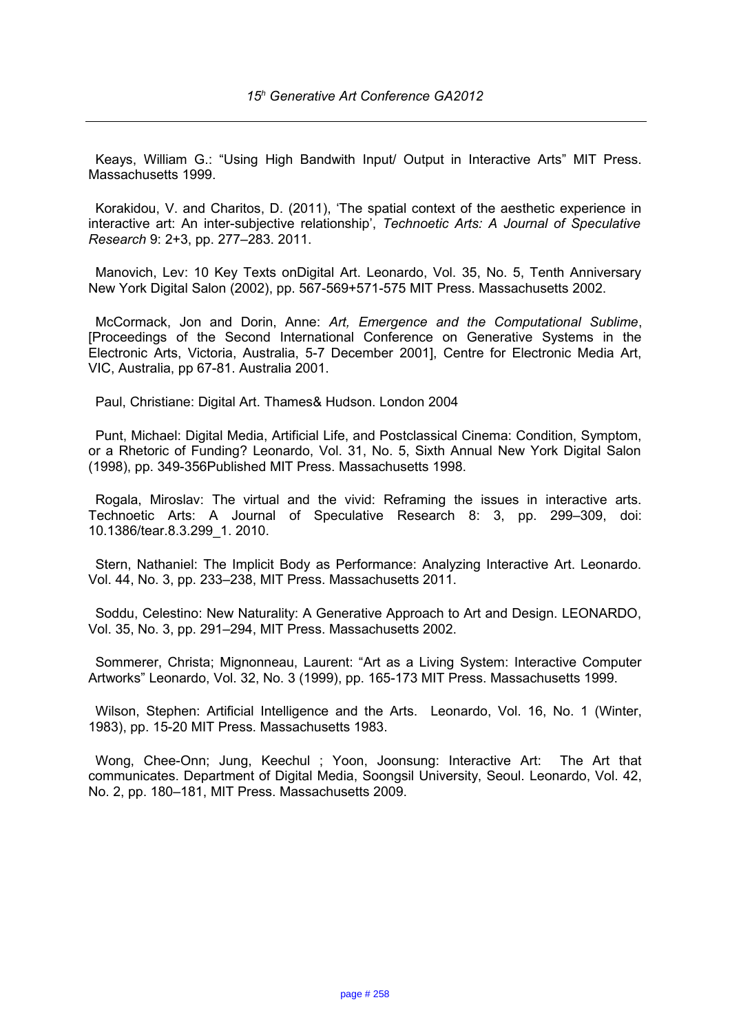Keays, William G.: "Using High Bandwith Input/ Output in Interactive Arts" MIT Press. Massachusetts 1999.

Korakidou, V. and Charitos, D. (2011), 'The spatial context of the aesthetic experience in interactive art: An inter-subjective relationship', *Technoetic Arts: A Journal of Speculative Research* 9: 2+3, pp. 277–283. 2011.

Manovich, Lev: 10 Key Texts onDigital Art. Leonardo, Vol. 35, No. 5, Tenth Anniversary New York Digital Salon (2002), pp. 567-569+571-575 MIT Press. Massachusetts 2002.

McCormack, Jon and Dorin, Anne: *Art, Emergence and the Computational Sublime*, [Proceedings of the Second International Conference on Generative Systems in the Electronic Arts, Victoria, Australia, 5-7 December 2001], Centre for Electronic Media Art, VIC, Australia, pp 67-81. Australia 2001.

Paul, Christiane: Digital Art. Thames& Hudson. London 2004

Punt, Michael: Digital Media, Artificial Life, and Postclassical Cinema: Condition, Symptom, or a Rhetoric of Funding? Leonardo, Vol. 31, No. 5, Sixth Annual New York Digital Salon (1998), pp. 349-356Published MIT Press. Massachusetts 1998.

Rogala, Miroslav: The virtual and the vivid: Reframing the issues in interactive arts. Technoetic Arts: A Journal of Speculative Research 8: 3, pp. 299–309, doi: 10.1386/tear.8.3.299\_1. 2010.

Stern, Nathaniel: The Implicit Body as Performance: Analyzing Interactive Art. Leonardo. Vol. 44, No. 3, pp. 233–238, MIT Press. Massachusetts 2011.

Soddu, Celestino: New Naturality: A Generative Approach to Art and Design. LEONARDO, Vol. 35, No. 3, pp. 291–294, MIT Press. Massachusetts 2002.

Sommerer, Christa; Mignonneau, Laurent: "Art as a Living System: Interactive Computer Artworks" Leonardo, Vol. 32, No. 3 (1999), pp. 165-173 MIT Press. Massachusetts 1999.

Wilson, Stephen: Artificial Intelligence and the Arts. Leonardo, Vol. 16, No. 1 (Winter, 1983), pp. 15-20 MIT Press. Massachusetts 1983.

Wong, Chee-Onn; Jung, Keechul ; Yoon, Joonsung: Interactive Art: The Art that communicates. Department of Digital Media, Soongsil University, Seoul. Leonardo, Vol. 42, No. 2, pp. 180–181, MIT Press. Massachusetts 2009.